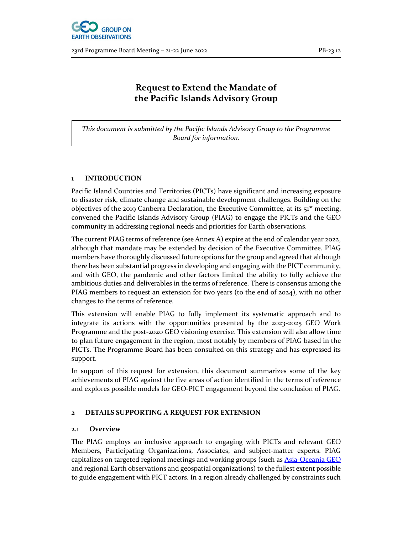

## Request to Extend the Mandate of the Pacific Islands Advisory Group

This document is submitted by the Pacific Islands Advisory Group to the Programme Board for information.

#### 1 INTRODUCTION

Pacific Island Countries and Territories (PICTs) have significant and increasing exposure to disaster risk, climate change and sustainable development challenges. Building on the objectives of the 2019 Canberra Declaration, the Executive Committee, at its  $51<sup>st</sup>$  meeting, convened the Pacific Islands Advisory Group (PIAG) to engage the PICTs and the GEO community in addressing regional needs and priorities for Earth observations.

The current PIAG terms of reference (see Annex A) expire at the end of calendar year 2022, although that mandate may be extended by decision of the Executive Committee. PIAG members have thoroughly discussed future options for the group and agreed that although there has been substantial progress in developing and engaging with the PICT community, and with GEO, the pandemic and other factors limited the ability to fully achieve the ambitious duties and deliverables in the terms of reference. There is consensus among the PIAG members to request an extension for two years (to the end of 2024), with no other changes to the terms of reference.

This extension will enable PIAG to fully implement its systematic approach and to integrate its actions with the opportunities presented by the 2023-2025 GEO Work Programme and the post-2020 GEO visioning exercise. This extension will also allow time to plan future engagement in the region, most notably by members of PIAG based in the PICTs. The Programme Board has been consulted on this strategy and has expressed its support.

In support of this request for extension, this document summarizes some of the key achievements of PIAG against the five areas of action identified in the terms of reference and explores possible models for GEO-PICT engagement beyond the conclusion of PIAG.

#### 2 DETAILS SUPPORTING A REQUEST FOR EXTENSION

#### 2.1 Overview

The PIAG employs an inclusive approach to engaging with PICTs and relevant GEO Members, Participating Organizations, Associates, and subject-matter experts. PIAG capitalizes on targeted regional meetings and working groups (such as **Asia-Oceania GEO** and regional Earth observations and geospatial organizations) to the fullest extent possible to guide engagement with PICT actors. In a region already challenged by constraints such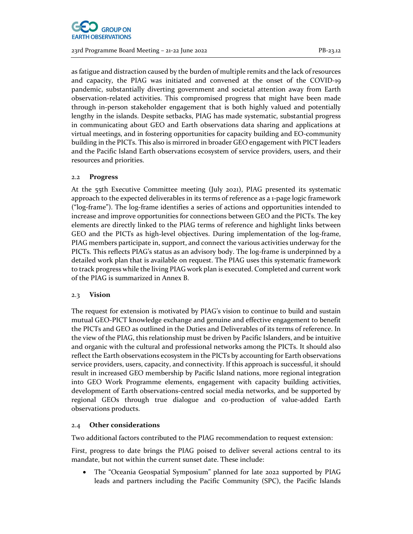

as fatigue and distraction caused by the burden of multiple remits and the lack of resources and capacity, the PIAG was initiated and convened at the onset of the COVID-19 pandemic, substantially diverting government and societal attention away from Earth observation-related activities. This compromised progress that might have been made through in-person stakeholder engagement that is both highly valued and potentially lengthy in the islands. Despite setbacks, PIAG has made systematic, substantial progress in communicating about GEO and Earth observations data sharing and applications at virtual meetings, and in fostering opportunities for capacity building and EO-community building in the PICTs. This also is mirrored in broader GEO engagement with PICT leaders and the Pacific Island Earth observations ecosystem of service providers, users, and their resources and priorities.

#### 2.2 Progress

At the 55th Executive Committee meeting (July 2021), PIAG presented its systematic approach to the expected deliverables in its terms of reference as a 1-page logic framework ("log-frame"). The log-frame identifies a series of actions and opportunities intended to increase and improve opportunities for connections between GEO and the PICTs. The key elements are directly linked to the PIAG terms of reference and highlight links between GEO and the PICTs as high-level objectives. During implementation of the log-frame, PIAG members participate in, support, and connect the various activities underway for the PICTs. This reflects PIAG's status as an advisory body. The log-frame is underpinned by a detailed work plan that is available on request. The PIAG uses this systematic framework to track progress while the living PIAG work plan is executed. Completed and current work of the PIAG is summarized in Annex B.

#### 2.3 Vision

The request for extension is motivated by PIAG's vision to continue to build and sustain mutual GEO-PICT knowledge exchange and genuine and effective engagement to benefit the PICTs and GEO as outlined in the Duties and Deliverables of its terms of reference. In the view of the PIAG, this relationship must be driven by Pacific Islanders, and be intuitive and organic with the cultural and professional networks among the PICTs. It should also reflect the Earth observations ecosystem in the PICTs by accounting for Earth observations service providers, users, capacity, and connectivity. If this approach is successful, it should result in increased GEO membership by Pacific Island nations, more regional integration into GEO Work Programme elements, engagement with capacity building activities, development of Earth observations-centred social media networks, and be supported by regional GEOs through true dialogue and co-production of value-added Earth observations products.

#### 2.4 Other considerations

Two additional factors contributed to the PIAG recommendation to request extension:

First, progress to date brings the PIAG poised to deliver several actions central to its mandate, but not within the current sunset date. These include:

• The "Oceania Geospatial Symposium" planned for late 2022 supported by PIAG leads and partners including the Pacific Community (SPC), the Pacific Islands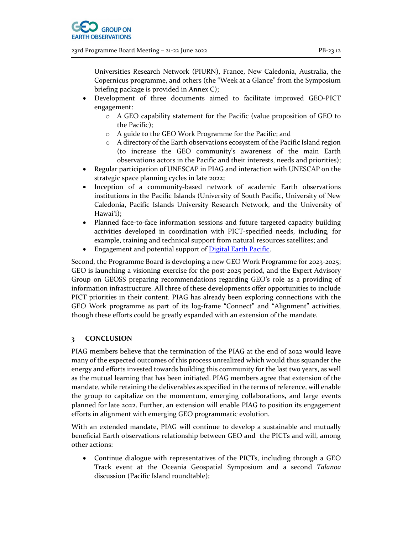

Universities Research Network (PIURN), France, New Caledonia, Australia, the Copernicus programme, and others (the "Week at a Glance" from the Symposium briefing package is provided in Annex C);

- Development of three documents aimed to facilitate improved GEO-PICT engagement:
	- o A GEO capability statement for the Pacific (value proposition of GEO to the Pacific);
	- o A guide to the GEO Work Programme for the Pacific; and
	- o A directory of the Earth observations ecosystem of the Pacific Island region (to increase the GEO community's awareness of the main Earth observations actors in the Pacific and their interests, needs and priorities);
- Regular participation of UNESCAP in PIAG and interaction with UNESCAP on the strategic space planning cycles in late 2022;
- Inception of a community-based network of academic Earth observations institutions in the Pacific Islands (University of South Pacific, University of New Caledonia, Pacific Islands University Research Network, and the University of Hawaiʻi);
- Planned face-to-face information sessions and future targeted capacity building activities developed in coordination with PICT-specified needs, including, for example, training and technical support from natural resources satellites; and
- Engagement and potential support of Digital Earth Pacific.

Second, the Programme Board is developing a new GEO Work Programme for 2023-2025; GEO is launching a visioning exercise for the post-2025 period, and the Expert Advisory Group on GEOSS preparing recommendations regarding GEO's role as a providing of information infrastructure. All three of these developments offer opportunities to include PICT priorities in their content. PIAG has already been exploring connections with the GEO Work programme as part of its log-frame "Connect" and "Alignment" activities, though these efforts could be greatly expanded with an extension of the mandate.

#### 3 CONCLUSION

PIAG members believe that the termination of the PIAG at the end of 2022 would leave many of the expected outcomes of this process unrealized which would thus squander the energy and efforts invested towards building this community for the last two years, as well as the mutual learning that has been initiated. PIAG members agree that extension of the mandate, while retaining the deliverables as specified in the terms of reference, will enable the group to capitalize on the momentum, emerging collaborations, and large events planned for late 2022. Further, an extension will enable PIAG to position its engagement efforts in alignment with emerging GEO programmatic evolution.

With an extended mandate, PIAG will continue to develop a sustainable and mutually beneficial Earth observations relationship between GEO and the PICTs and will, among other actions:

 Continue dialogue with representatives of the PICTs, including through a GEO Track event at the Oceania Geospatial Symposium and a second Talanoa discussion (Pacific Island roundtable);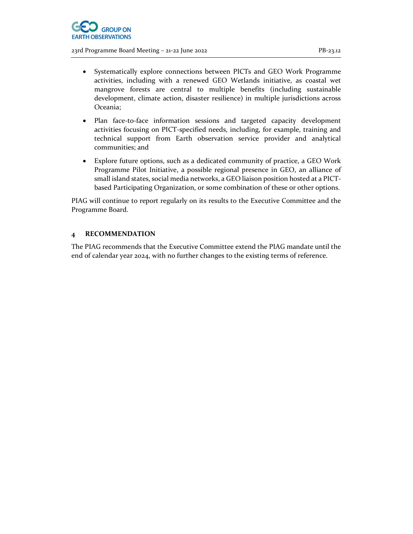

- Systematically explore connections between PICTs and GEO Work Programme activities, including with a renewed GEO Wetlands initiative, as coastal wet mangrove forests are central to multiple benefits (including sustainable development, climate action, disaster resilience) in multiple jurisdictions across Oceania;
- Plan face-to-face information sessions and targeted capacity development activities focusing on PICT-specified needs, including, for example, training and technical support from Earth observation service provider and analytical communities; and
- Explore future options, such as a dedicated community of practice, a GEO Work Programme Pilot Initiative, a possible regional presence in GEO, an alliance of small island states, social media networks, a GEO liaison position hosted at a PICTbased Participating Organization, or some combination of these or other options.

PIAG will continue to report regularly on its results to the Executive Committee and the Programme Board.

#### 4 RECOMMENDATION

The PIAG recommends that the Executive Committee extend the PIAG mandate until the end of calendar year 2024, with no further changes to the existing terms of reference.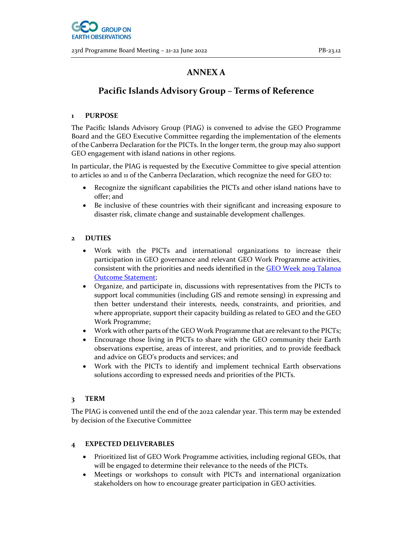## ANNEX A

## Pacific Islands Advisory Group – Terms of Reference

#### 1 PURPOSE

The Pacific Islands Advisory Group (PIAG) is convened to advise the GEO Programme Board and the GEO Executive Committee regarding the implementation of the elements of the Canberra Declaration for the PICTs. In the longer term, the group may also support GEO engagement with island nations in other regions.

In particular, the PIAG is requested by the Executive Committee to give special attention to articles 10 and 11 of the Canberra Declaration, which recognize the need for GEO to:

- Recognize the significant capabilities the PICTs and other island nations have to offer; and
- Be inclusive of these countries with their significant and increasing exposure to disaster risk, climate change and sustainable development challenges.

#### 2 DUTIES

- Work with the PICTs and international organizations to increase their participation in GEO governance and relevant GEO Work Programme activities, consistent with the priorities and needs identified in the GEO Week 2019 Talanoa Outcome Statement;
- Organize, and participate in, discussions with representatives from the PICTs to support local communities (including GIS and remote sensing) in expressing and then better understand their interests, needs, constraints, and priorities, and where appropriate, support their capacity building as related to GEO and the GEO Work Programme;
- Work with other parts of the GEO Work Programme that are relevant to the PICTs;
- Encourage those living in PICTs to share with the GEO community their Earth observations expertise, areas of interest, and priorities, and to provide feedback and advice on GEO's products and services; and
- Work with the PICTs to identify and implement technical Earth observations solutions according to expressed needs and priorities of the PICTs.

#### 3 TERM

The PIAG is convened until the end of the 2022 calendar year. This term may be extended by decision of the Executive Committee

#### 4 EXPECTED DELIVERABLES

- Prioritized list of GEO Work Programme activities, including regional GEOs, that will be engaged to determine their relevance to the needs of the PICTs.
- Meetings or workshops to consult with PICTs and international organization stakeholders on how to encourage greater participation in GEO activities.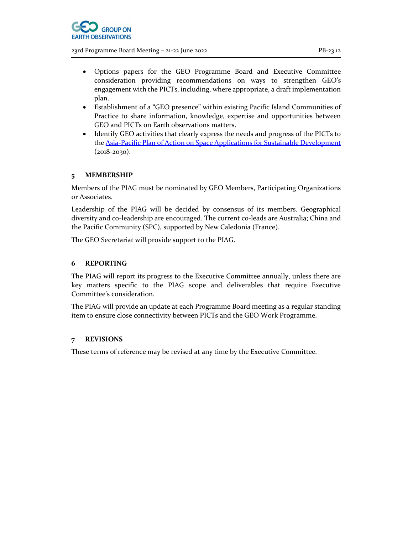

- Options papers for the GEO Programme Board and Executive Committee consideration providing recommendations on ways to strengthen GEO's engagement with the PICTs, including, where appropriate, a draft implementation plan.
- Establishment of a "GEO presence" within existing Pacific Island Communities of Practice to share information, knowledge, expertise and opportunities between GEO and PICTs on Earth observations matters.
- Identify GEO activities that clearly express the needs and progress of the PICTs to the Asia-Pacific Plan of Action on Space Applications for Sustainable Development (2018-2030).

#### 5 MEMBERSHIP

Members of the PIAG must be nominated by GEO Members, Participating Organizations or Associates.

Leadership of the PIAG will be decided by consensus of its members. Geographical diversity and co-leadership are encouraged. The current co-leads are Australia; China and the Pacific Community (SPC), supported by New Caledonia (France).

The GEO Secretariat will provide support to the PIAG.

#### 6 REPORTING

The PIAG will report its progress to the Executive Committee annually, unless there are key matters specific to the PIAG scope and deliverables that require Executive Committee's consideration.

The PIAG will provide an update at each Programme Board meeting as a regular standing item to ensure close connectivity between PICTs and the GEO Work Programme.

#### 7 REVISIONS

These terms of reference may be revised at any time by the Executive Committee.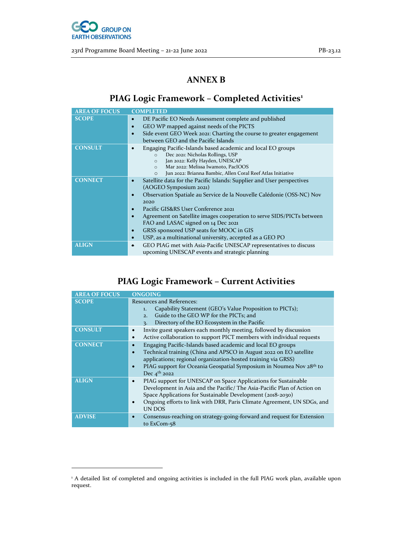

## ANNEX B

# PIAG Logic Framework - Completed Activities<sup>1</sup>

| <b>AREA OF FOCUS</b> | <b>COMPLETED</b>                                                                                                                                                                                                                                                                                                                                                                                                                                                                        |
|----------------------|-----------------------------------------------------------------------------------------------------------------------------------------------------------------------------------------------------------------------------------------------------------------------------------------------------------------------------------------------------------------------------------------------------------------------------------------------------------------------------------------|
| <b>SCOPE</b>         | DE Pacific EO Needs Assessment complete and published<br>$\bullet$<br>GEO WP mapped against needs of the PICTS<br>$\bullet$<br>Side event GEO Week 2021: Charting the course to greater engagement                                                                                                                                                                                                                                                                                      |
|                      | between GEO and the Pacific Islands                                                                                                                                                                                                                                                                                                                                                                                                                                                     |
| <b>CONSULT</b>       | Engaging Pacific-Islands based academic and local EO groups<br>$\bullet$<br>Dec 2021: Nicholas Rollings, USP<br>$\circ$<br>Jan 2022: Kelly Hayden, UNESCAP<br>$\circ$<br>Mar 2022: Melissa Iwamoto, PacIOOS<br>$\Omega$<br>Jun 2022: Brianna Bambic, Allen Coral Reef Atlas Initiative<br>$\Omega$                                                                                                                                                                                      |
| <b>CONNECT</b>       | Satellite data for the Pacific Islands: Supplier and User perspectives<br>$\bullet$<br>(AOGEO Symposium 2021)<br>Observation Spatiale au Service de la Nouvelle Calédonie (OSS-NC) Nov<br>2020<br>Pacific GIS&RS User Conference 2021<br>Agreement on Satellite images cooperation to serve SIDS/PICTs between<br>FAO and LASAC signed on 14 Dec 2021<br>GRSS sponsored USP seats for MOOC in GIS<br>$\bullet$<br>USP, as a multinational university, accepted as a GEO PO<br>$\bullet$ |
| <b>ALIGN</b>         | GEO PIAG met with Asia-Pacific UNESCAP representatives to discuss<br>٠<br>upcoming UNESCAP events and strategic planning                                                                                                                                                                                                                                                                                                                                                                |

# PIAG Logic Framework – Current Activities

| <b>AREA OF FOCUS</b> | <b>ONGOING</b>                                                                                                                                                                                                                                                                                                                  |
|----------------------|---------------------------------------------------------------------------------------------------------------------------------------------------------------------------------------------------------------------------------------------------------------------------------------------------------------------------------|
| <b>SCOPE</b>         | Resources and References:<br>Capability Statement (GEO's Value Proposition to PICTs);<br>1.<br>Guide to the GEO WP for the PICTs; and<br>2.<br>Directory of the EO Ecosystem in the Pacific<br>$\mathbf{R}$                                                                                                                     |
| <b>CONSULT</b>       | Invite guest speakers each monthly meeting, followed by discussion<br>Active collaboration to support PICT members with individual requests<br>$\bullet$                                                                                                                                                                        |
| <b>CONNECT</b>       | Engaging Pacific-Islands based academic and local EO groups<br>Technical training (China and APSCO in August 2022 on EO satellite<br>$\bullet$<br>applications; regional organization-hosted training via GRSS)<br>PIAG support for Oceania Geospatial Symposium in Noumea Nov 28th to<br>$\bullet$<br>Dec 4 <sup>th</sup> 2022 |
| <b>ALIGN</b>         | PIAG support for UNESCAP on Space Applications for Sustainable<br>Development in Asia and the Pacific/The Asia-Pacific Plan of Action on<br>Space Applications for Sustainable Development (2018-2030)<br>Ongoing efforts to link with DRR, Paris Climate Agreement, UN SDGs, and<br>$\bullet$<br>UN DOS                        |
| <b>ADVISE</b>        | Consensus-reaching on strategy-going-forward and request for Extension<br>$\bullet$<br>to ExCom-58                                                                                                                                                                                                                              |

<sup>&</sup>lt;sup>1</sup> A detailed list of completed and ongoing activities is included in the full PIAG work plan, available upon request.